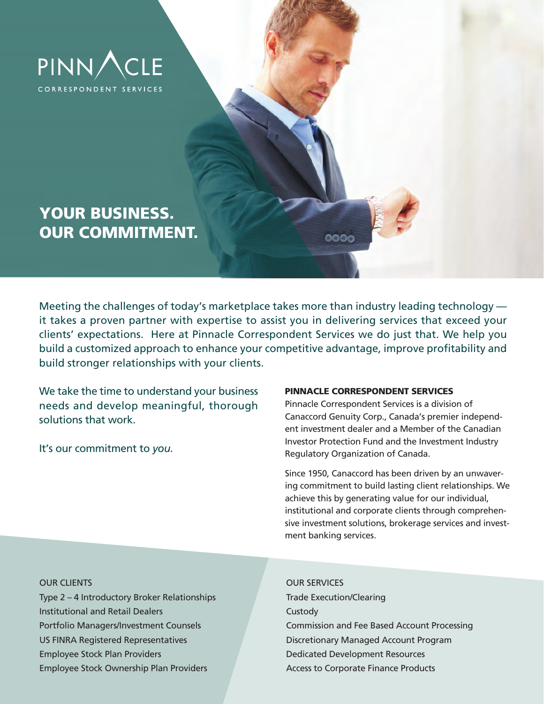

# **YOUR BUSINESS. OUR COMMITMENT.**

Meeting the challenges of today's marketplace takes more than industry leading technology it takes a proven partner with expertise to assist you in delivering services that exceed your clients' expectations. Here at Pinnacle Correspondent Services we do just that. We help you build a customized approach to enhance your competitive advantage, improve profitability and build stronger relationships with your clients.

We take the time to understand your business needs and develop meaningful, thorough solutions that work.

It's our commitment to *you.*

### **PINNACLE CORRESPONDENT SERVICES**

3000

Pinnacle Correspondent Services is a division of Canaccord Genuity Corp., Canada's premier independent investment dealer and a Member of the Canadian Investor Protection Fund and the Investment Industry Regulatory Organization of Canada.

Since 1950, Canaccord has been driven by an unwavering commitment to build lasting client relationships. We achieve this by generating value for our individual, institutional and corporate clients through comprehensive investment solutions, brokerage services and investment banking services.

#### **OUR CLIENTS** OUR SERVICES

Type 2 – 4 Introductory Broker Relationships Trade Execution/Clearing Institutional and Retail Dealers Custody Custody US FINRA Registered Representatives Discretionary Managed Account Program Employee Stock Plan Providers Dedicated Development Resources Employee Stock Ownership Plan Providers Access to Corporate Finance Products

Portfolio Managers/Investment Counsels Commission and Fee Based Account Processing